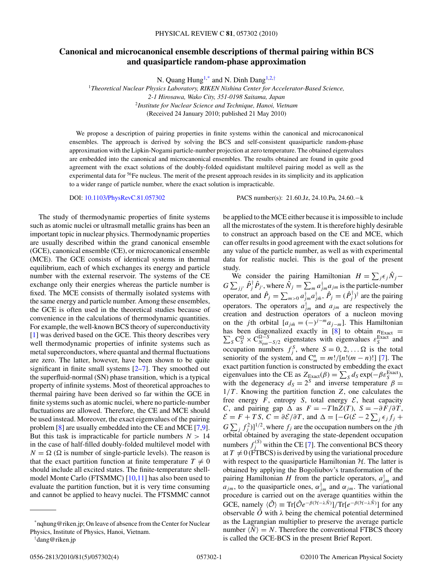## **Canonical and microcanonical ensemble descriptions of thermal pairing within BCS and quasiparticle random-phase approximation**

N. Quang Hung<sup>1,\*</sup> and N. Dinh Dang<sup>1,2,†</sup>

<sup>1</sup>*Theoretical Nuclear Physics Laboratory, RIKEN Nishina Center for Accelerator-Based Science, 2-1 Hirosawa, Wako City, 351-0198 Saitama, Japan* <sup>2</sup>*Institute for Nuclear Science and Technique, Hanoi, Vietnam* (Received 24 January 2010; published 21 May 2010)

We propose a description of pairing properties in finite systems within the canonical and microcanonical ensembles. The approach is derived by solving the BCS and self-consistent quasiparticle random-phase approximation with the Lipkin-Nogami particle-number projection at zero temperature. The obtained eigenvalues are embedded into the canonical and microcanonical ensembles. The results obtained are found in quite good agreement with the exact solutions of the doubly-folded equidistant multilevel pairing model as well as the experimental data for <sup>56</sup>Fe nucleus. The merit of the present approach resides in its simplicity and its application to a wider range of particle number, where the exact solution is impracticable.

DOI: [10.1103/PhysRevC.81.057302](http://dx.doi.org/10.1103/PhysRevC.81.057302) PACS number(s): 21*.*60*.*Jz, 24*.*10*.*Pa, 24*.*60*.*−k

The study of thermodynamic properties of finite systems such as atomic nuclei or ultrasmall metallic grains has been an important topic in nuclear physics. Thermodynamic properties are usually described within the grand canonical ensemble (GCE), canonical ensemble (CE), or microcanonical ensemble (MCE). The GCE consists of identical systems in thermal equilibrium, each of which exchanges its energy and particle number with the external reservoir. The systems of the CE exchange only their energies whereas the particle number is fixed. The MCE consists of thermally isolated systems with the same energy and particle number. Among these ensembles, the GCE is often used in the theoretical studies because of convenience in the calculations of thermodynamic quantities. For example, the well-known BCS theory of superconductivity [\[1\]](#page-3-0) was derived based on the GCE. This theory describes very well thermodynamic properties of infinite systems such as metal superconductors, where quantal and thermal fluctuations are zero. The latter, however, have been shown to be quite significant in finite small systems [\[2–7\]](#page-3-0). They smoothed out the superfluid-normal (SN) phase transition, which is a typical property of infinite systems. Most of theoretical approaches to thermal pairing have been derived so far within the GCE in finite systems such as atomic nuclei, where no particle-number fluctuations are allowed. Therefore, the CE and MCE should be used instead. Moreover, the exact eigenvalues of the pairing problem [\[8\]](#page-3-0) are usually embedded into the CE and MCE [\[7,9\]](#page-3-0). But this task is impracticable for particle numbers  $N > 14$ in the case of half-filled doubly-folded multilevel model with  $N = \Omega$  ( $\Omega$  is number of single-particle levels). The reason is that the exact partition function at finite temperature  $T \neq 0$ should include all excited states. The finite-temperature shellmodel Monte Carlo (FTSMMC) [\[10,11\]](#page-3-0) has also been used to evaluate the partition function, but it is very time consuming and cannot be applied to heavy nuclei. The FTSMMC cannot

be applied to the MCE either because it is impossible to include all the microstates of the system. It is therefore highly desirable to construct an approach based on the CE and MCE, which can offer results in good agreement with the exact solutions for any value of the particle number, as well as with experimental data for realistic nuclei. This is the goal of the present study.

We consider the pairing Hamiltonian  $H = \sum_j \epsilon_j \hat{N}_j G \sum_{jj'} \hat{P}^{\dagger}_j \hat{P}_{j'}$ , where  $\hat{N}_j = \sum_m a^{\dagger}_{jm} a_{jm}$  is the particle-number operator, and  $\hat{P}_j = \sum_{m>0} a_{jm}^{\dagger} a_{jm}^{\dagger}$ ,  $\hat{P}_j = (\hat{P}_j^{\dagger})^{\dagger}$  are the pairing operators. The operators  $a_{jm}^{\dagger}$  and  $a_{jm}$  are respectively the creation and destruction operators of a nucleon moving on the *j*th orbital  $[a_{j\tilde{m}} = (-)^{j-m}a_{j-m}$ . This Hamiltonian has been diagonalized exactly in [ Σ  $\frac{8}{8}$  to obtain  $n_{\text{Exact}} =$  ${}_{S}C_{S}^{\Omega} \times C_{N_{pair}-S/2}^{\Omega-S}$  eigenstates with eigenvalues  $\varepsilon_{S}^{\text{Exact}}$  and occupation numbers  $f_j^S$ , where  $S = 0, 2, \ldots \Omega$  is the total seniority of the system, and  $C_m^n = m!/[n!(m-n)!]$  [\[7\]](#page-3-0). The exact partition function is constructed by embedding the exact eigenvalues into the CE as  $Z_{\text{Exact}}(\beta) = \sum_{S} d_{S} \exp(-\beta \varepsilon_{S}^{\text{Exact}})$ , with the degeneracy  $d_S = 2^S$  and inverse temperature  $\beta =$  $1/T$ . Knowing the partition function  $Z$ , one calculates the free energy  $F$ , entropy  $S$ , total energy  $\mathcal{E}$ , heat capacity *C*, and pairing gap  $\Delta$  as  $F = -T \ln Z(T)$ ,  $S = -\partial F / \partial T$ ,  $\mathcal{E} = F + TS$ ,  $C = \partial \mathcal{E}/\partial T$ , and  $\Delta = [-G(\mathcal{E} - 2\sum_j \epsilon_j f_j + \epsilon_j \epsilon_j^2 + \epsilon_j^2]$  $G \sum_j f_j^2$ )]<sup>1/2</sup>, where  $f_j$  are the occupation numbers on the *j*th orbital obtained by averaging the state-dependent occupation numbers  $f_j^{(S)}$  within the CE [\[7\]](#page-3-0). The conventional BCS theory at  $T \neq 0$  (FTBCS) is derived by using the variational procedure with respect to the quasiparticle Hamiltonian  $H$ . The latter is obtained by applying the Bogoliubov's transformation of the pairing Hamiltonian *H* from the particle operators,  $a_{jm}^{\dagger}$  and  $a_{jm}$ , to the quasiparticle ones,  $\alpha_{jm}^{\dagger}$  and  $\alpha_{jm}$ . The variational procedure is carried out on the average quantities within the GCE, namely  $\langle \hat{\mathcal{O}} \rangle \equiv \text{Tr}[\hat{\mathcal{O}}e^{-\beta(\mathcal{H}-\lambda \hat{N})}]/\text{Tr}[e^{-\beta(\mathcal{H}-\lambda \hat{N})}]$  for any observable  $\hat{O}$  with  $\lambda$  being the chemical potential determined as the Lagrangian multiplier to preserve the average particle number  $\langle \hat{N} \rangle = N$ . Therefore the conventional FTBCS theory is called the GCE-BCS in the present Brief Report.

<sup>\*</sup>nqhung@riken.jp; On leave of absence from the Center for Nuclear Physics, Institute of Physics, Hanoi, Vietnam.

<sup>†</sup> dang@riken.jp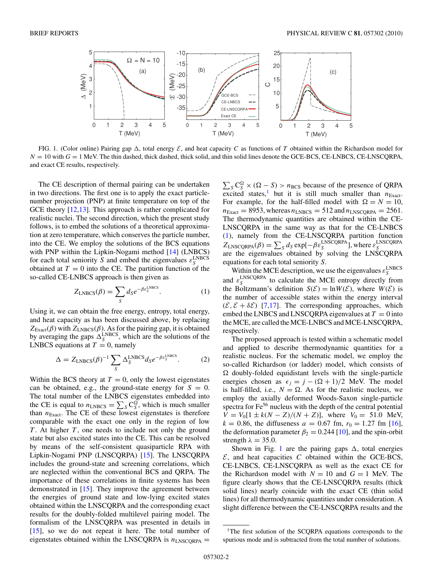

FIG. 1. (Color online) Pairing gap  $\Delta$ , total energy  $\mathcal{E}$ , and heat capacity *C* as functions of *T* obtained within the Richardson model for  $N = 10$  with  $G = 1$  MeV. The thin dashed, thick dashed, thick solid, and thin solid lines denote the GCE-BCS, CE-LNBCS, CE-LNSCQRPA, and exact CE results, respectively.

The CE description of thermal pairing can be undertaken in two directions. The first one is to apply the exact particlenumber projection (PNP) at finite temperature on top of the GCE theory [\[12,13\]](#page-3-0). This approach is rather complicated for realistic nuclei. The second direction, which the present study follows, is to embed the solutions of a theoretical approximation at zero temperature, which conserves the particle number, into the CE. We employ the solutions of the BCS equations with PNP within the Lipkin-Nogami method [\[14\]](#page-3-0) (LNBCS) for each total seniority *S* and embed the eigenvalues  $\varepsilon_S^{\text{LNBCS}}$ obtained at  $T = 0$  into the CE. The partition function of the so-called CE-LNBCS approach is then given as

$$
Z_{\text{LNEG}}(\beta) = \sum_{S} d_{S} e^{-\beta \varepsilon_{S}^{\text{LNEG}}}.
$$
 (1)

Using it, we can obtain the free energy, entropy, total energy, and heat capacity as has been discussed above, by replacing  $Z_{\text{Exact}}(\beta)$  with  $Z_{\text{LNEG}}(\beta)$ . As for the pairing gap, it is obtained by averaging the gaps  $\Delta_S^{LNBCS}$ , which are the solutions of the LNBCS equations at  $T = 0$ , namely

$$
\Delta = Z_{\text{LNEG}}(\beta)^{-1} \sum_{S} \Delta_{S}^{\text{LNEG}} d_{S} e^{-\beta \varepsilon_{S}^{\text{LNEG}}}.
$$
 (2)

Within the BCS theory at  $T = 0$ , only the lowest eigenstates can be obtained, e.g., the ground-state energy for  $S = 0$ . The total number of the LNBCS eigenstates embedded into the CE is equal to  $n_{LNBCS} = \sum_{S} C_S^{\Omega}$ , which is much smaller than  $n_{Exact}$ . The CE of these lowest eigenstates is therefore comparable with the exact one only in the region of low *T*. At higher *T*, one needs to include not only the ground state but also excited states into the CE. This can be resolved by means of the self-consistent quasiparticle RPA with Lipkin-Nogami PNP (LNSCQRPA) [\[15\]](#page-3-0). The LNSCQRPA includes the ground-state and screening correlations, which are neglected within the conventional BCS and QRPA. The importance of these correlations in finite systems has been demonstrated in [\[15\]](#page-3-0). They improve the agreement between the energies of ground state and low-lying excited states obtained within the LNSCQRPA and the corresponding exact results for the doubly-folded multilevel pairing model. The formalism of the LNSCQRPA was presented in details in [\[15\]](#page-3-0), so we do not repeat it here. The total number of eigenstates obtained within the LNSCQRPA is  $n_{LNSCORPA}$  =

 $\sum_{S} C_S^{\Omega} \times (\Omega - S) > n_{BCS}$  because of the presence of QRPA excited states,<sup>1</sup> but it is still much smaller than  $n_{\text{Exact}}$ . For example, for the half-filled model with  $\Omega = N = 10$ ,  $n_{\text{Exact}} = 8953$ , whereas  $n_{\text{LNEG}} = 512$  and  $n_{\text{LNSCORPA}} = 2561$ . The thermodynamic quantities are obtained within the CE-LNSCQRPA in the same way as that for the CE-LNBCS (1), namely from the CE-LNSCQRPA partition function  $Z_{\text{LNSCQRPA}}(\beta) = \sum_{S} d_{S} \exp[-\beta \varepsilon_{S}^{\text{LNSCQRPA}}]$ , where  $\varepsilon_{S}^{\text{LNSCQRPA}}$ are the eigenvalues obtained by solving the LNSCQRPA equations for each total seniority *S*.

Within the MCE description, we use the eigenvalues  $\varepsilon_S^{\text{LNEG}}$ and  $\varepsilon_S^{\text{LNSCQRPA}}$  to calculate the MCE entropy directly from the Boltzmann's definition  $S(\mathcal{E}) = \ln W(\mathcal{E})$ , where  $W(\mathcal{E})$  is the number of accessible states within the energy interval  $(\mathcal{E}, \mathcal{E} + \delta \mathcal{E})$  [\[7,17\]](#page-3-0). The corresponding approaches, which embed the LNBCS and LNSCQRPA eigenvalues at  $T = 0$  into the MCE, are called the MCE-LNBCS and MCE-LNSCQRPA, respectively.

The proposed approach is tested within a schematic model and applied to describe thermodynamic quantities for a realistic nucleus. For the schematic model, we employ the so-called Richardson (or ladder) model, which consists of  $\Omega$  doubly-folded equidistant levels with the single-particle energies chosen as  $\epsilon_j = j - (\Omega + 1)/2$  MeV. The model is half-filled, i.e.,  $N = \Omega$ . As for the realistic nucleus, we employ the axially deformed Woods-Saxon single-particle spectra for Fe<sup>56</sup> nucleus with the depth of the central potential  $V = V_0[1 \pm k(N - Z)/(N + Z)]$ , where  $V_0 = 51.0$  MeV,  $k = 0.86$ , the diffuseness  $a = 0.67$  fm,  $r_0 = 1.27$  fm [\[16\]](#page-3-0), the deformation parameter  $\beta_2 = 0.244$  [\[10\]](#page-3-0), and the spin-orbit strength  $\lambda = 35.0$ .

Shown in Fig. 1 are the pairing gaps  $\Delta$ , total energies  $\mathcal{E}$ , and heat capacities  $C$  obtained within the GCE-BCS, CE-LNBCS, CE-LNSCQRPA as well as the exact CE for the Richardson model with  $N = 10$  and  $G = 1$  MeV. The figure clearly shows that the CE-LNSCQRPA results (thick solid lines) nearly coincide with the exact CE (thin solid lines) for all thermodynamic quantities under consideration. A slight difference between the CE-LNSCQRPA results and the

<sup>&</sup>lt;sup>1</sup>The first solution of the SCORPA equations corresponds to the spurious mode and is subtracted from the total number of solutions.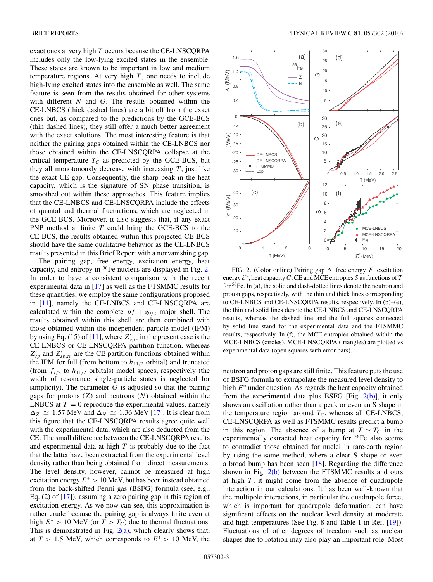<span id="page-2-0"></span>exact ones at very high *T* occurs because the CE-LNSCQRPA includes only the low-lying excited states in the ensemble. These states are known to be important in low and medium temperature regions. At very high  $T$ , one needs to include high-lying excited states into the ensemble as well. The same feature is seen from the results obtained for other systems with different *N* and *G*. The results obtained within the CE-LNBCS (thick dashed lines) are a bit off from the exact ones but, as compared to the predictions by the GCE-BCS (thin dashed lines), they still offer a much better agreement with the exact solutions. The most interesting feature is that neither the pairing gaps obtained within the CE-LNBCS nor those obtained within the CE-LNSCQRPA collapse at the critical temperature  $T_C$  as predicted by the GCE-BCS, but they all monotonously decrease with increasing  $T$ , just like the exact CE gap. Consequently, the sharp peak in the heat capacity, which is the signature of SN phase transition, is smoothed out within these approaches. This feature implies that the CE-LNBCS and CE-LNSCQRPA include the effects of quantal and thermal fluctuations, which are neglected in the GCE-BCS. Moreover, it also suggests that, if any exact PNP method at finite *T* could bring the GCE-BCS to the CE-BCS, the results obtained within this projected CE-BCS should have the same qualitative behavior as the CE-LNBCS results presented in this Brief Report with a nonvanishing gap.

The pairing gap, free energy, excitation energy, heat capacity, and entropy in  ${}^{56}Fe$  nucleus are displayed in Fig. 2. In order to have a consistent comparison with the recent experimental data in [\[17\]](#page-3-0) as well as the FTSMMC results for these quantities, we employ the same configurations proposed in [\[11\]](#page-3-0), namely the CE-LNBCS and CE-LNSCQRPA are calculated within the complete  $pf + g_{9/2}$  major shell. The results obtained within this shell are then combined with those obtained within the independent-particle model (IPM) by using Eq. (15) of [\[11\]](#page-3-0), where  $Z'_{v,tr}$  in the present case is the CE-LNBCS or CE-LNSCQRPA partition function, whereas  $Z'_{sp}$  and  $Z'_{sp,tr}$  are the CE partition functions obtained within the IPM for full (from bottom to  $h_{11/2}$  orbital) and truncated (from  $f_{7/2}$  to  $h_{11/2}$  orbitals) model spaces, respectively (the width of resonance single-particle states is neglected for simplicity). The parameter  $G$  is adjusted so that the pairing gaps for protons (*Z*) and neutrons (*N*) obtained within the LNBCS at  $T = 0$  reproduce the experimental values, namely  $\Delta_Z \simeq 1.57$  MeV and  $\Delta_N \simeq 1.36$  MeV [\[17\]](#page-3-0). It is clear from this figure that the CE-LNSCQRPA results agree quite well with the experimental data, which are also deducted from the CE. The small difference between the CE-LNSCQRPA results and experimental data at high *T* is probably due to the fact that the latter have been extracted from the experimental level density rather than being obtained from direct measurements. The level density, however, cannot be measured at high excitation energy  $E^* > 10$  MeV, but has been instead obtained from the back-shifted Fermi gas (BSFG) formula (see, e.g., Eq. (2) of [\[17\]](#page-3-0)), assuming a zero pairing gap in this region of excitation energy. As we now can see, this approximation is rather crude because the pairing gap is always finite even at high  $E^* > 10$  MeV (or  $T > T_C$ ) due to thermal fluctuations. This is demonstrated in Fig.  $2(a)$ , which clearly shows that, at  $T > 1.5$  MeV, which corresponds to  $E^* > 10$  MeV, the



FIG. 2. (Color online) Pairing gap  $\Delta$ , free energy *F*, excitation energy E<sup>∗</sup>, heat capacity*C*, CE and MCE entropies *S* as functions of *T* for 56Fe. In (a), the solid and dash-dotted lines denote the neutron and proton gaps, respectively, with the thin and thick lines corresponding to CE-LNBCS and CE-LNSCQRPA results, respectively. In (b)–(e), the thin and solid lines denote the CE-LNBCS and CE-LNSCQRPA results, whereas the dashed line and the full squares connected by solid line stand for the experimental data and the FTSMMC results, respectively. In (f), the MCE entropies obtained within the MCE-LNBCS (circles), MCE-LNSCQRPA (triangles) are plotted vs experimental data (open squares with error bars).

neutron and proton gaps are still finite. This feature puts the use of BSFG formula to extrapolate the measured level density to high *E*<sup>∗</sup> under question. As regards the heat capacity obtained from the experimental data plus BSFG [Fig.  $2(b)$ ], it only shows an oscillation rather than a peak or even an S shape in the temperature region around  $T_C$ , whereas all CE-LNBCS, CE-LNSCQRPA as well as FTSMMC results predict a bump in this region. The absence of a bump at  $T \sim T_c$  in the experimentally extracted heat capacity for <sup>56</sup>Fe also seems to contradict those obtained for nuclei in rare-earth region by using the same method, where a clear S shape or even a broad bump has been seen [\[18\]](#page-3-0). Regarding the difference shown in Fig.  $2(b)$  between the FTSMMC results and ours at high *T* , it might come from the absence of quadrupole interaction in our calculations. It has been well-known that the multipole interactions, in particular the quadrupole force, which is important for quadrupole deformation, can have significant effects on the nuclear level density at moderate and high temperatures (See Fig. 8 and Table 1 in Ref. [\[19\]](#page-3-0)). Fluctuations of other degrees of freedom such as nuclear shapes due to rotation may also play an important role. Most